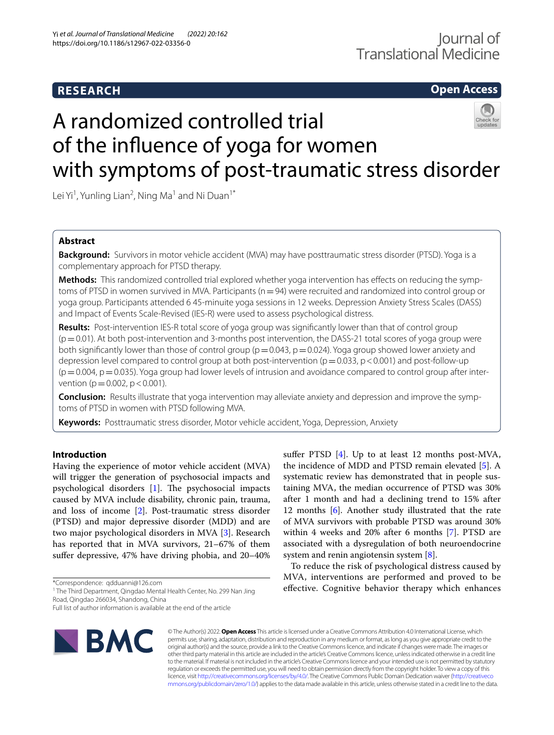# **RESEARCH**

# **Open Access**

# A randomized controlled trial of the infuence of yoga for women with symptoms of post-traumatic stress disorder

Lei Yi<sup>1</sup>, Yunling Lian<sup>2</sup>, Ning Ma<sup>1</sup> and Ni Duan<sup>1\*</sup>

# **Abstract**

**Background:** Survivors in motor vehicle accident (MVA) may have posttraumatic stress disorder (PTSD). Yoga is a complementary approach for PTSD therapy.

**Methods:** This randomized controlled trial explored whether yoga intervention has efects on reducing the symptoms of PTSD in women survived in MVA. Participants ( $n=94$ ) were recruited and randomized into control group or yoga group. Participants attended 6 45-minuite yoga sessions in 12 weeks. Depression Anxiety Stress Scales (DASS) and Impact of Events Scale-Revised (IES-R) were used to assess psychological distress.

**Results:** Post-intervention IES-R total score of yoga group was signifcantly lower than that of control group  $(p=0.01)$ . At both post-intervention and 3-months post intervention, the DASS-21 total scores of yoga group were both significantly lower than those of control group ( $p=0.043$ ,  $p=0.024$ ). Yoga group showed lower anxiety and depression level compared to control group at both post-intervention ( $p=0.033$ ,  $p<0.001$ ) and post-follow-up  $(p=0.004, p=0.035)$ . Yoga group had lower levels of intrusion and avoidance compared to control group after intervention ( $p = 0.002$ ,  $p < 0.001$ ).

**Conclusion:** Results illustrate that yoga intervention may alleviate anxiety and depression and improve the symptoms of PTSD in women with PTSD following MVA.

**Keywords:** Posttraumatic stress disorder, Motor vehicle accident, Yoga, Depression, Anxiety

# **Introduction**

Having the experience of motor vehicle accident (MVA) will trigger the generation of psychosocial impacts and psychological disorders  $[1]$  $[1]$ . The psychosocial impacts caused by MVA include disability, chronic pain, trauma, and loss of income [\[2\]](#page-6-1). Post-traumatic stress disorder (PTSD) and major depressive disorder (MDD) and are two major psychological disorders in MVA [\[3](#page-6-2)]. Research has reported that in MVA survivors, 21–67% of them sufer depressive, 47% have driving phobia, and 20–40%

\*Correspondence: qdduanni@126.com

<sup>1</sup> The Third Department, Qingdao Mental Health Center, No. 299 Nan Jing Road, Qingdao 266034, Shandong, China

**IBMC** 

suffer PTSD [\[4\]](#page-6-3). Up to at least 12 months post-MVA, the incidence of MDD and PTSD remain elevated [\[5](#page-6-4)]. A systematic review has demonstrated that in people sustaining MVA, the median occurrence of PTSD was 30% after 1 month and had a declining trend to 15% after 12 months [\[6\]](#page-6-5). Another study illustrated that the rate of MVA survivors with probable PTSD was around 30% within 4 weeks and 20% after 6 months [\[7](#page-6-6)]. PTSD are associated with a dysregulation of both neuroendocrine system and renin angiotensin system [\[8\]](#page-6-7).

To reduce the risk of psychological distress caused by MVA, interventions are performed and proved to be efective. Cognitive behavior therapy which enhances

© The Author(s) 2022. **Open Access** This article is licensed under a Creative Commons Attribution 4.0 International License, which permits use, sharing, adaptation, distribution and reproduction in any medium or format, as long as you give appropriate credit to the original author(s) and the source, provide a link to the Creative Commons licence, and indicate if changes were made. The images or other third party material in this article are included in the article's Creative Commons licence, unless indicated otherwise in a credit line to the material. If material is not included in the article's Creative Commons licence and your intended use is not permitted by statutory regulation or exceeds the permitted use, you will need to obtain permission directly from the copyright holder. To view a copy of this licence, visit [http://creativecommons.org/licenses/by/4.0/.](http://creativecommons.org/licenses/by/4.0/) The Creative Commons Public Domain Dedication waiver ([http://creativeco](http://creativecommons.org/publicdomain/zero/1.0/) [mmons.org/publicdomain/zero/1.0/](http://creativecommons.org/publicdomain/zero/1.0/)) applies to the data made available in this article, unless otherwise stated in a credit line to the data.

Full list of author information is available at the end of the article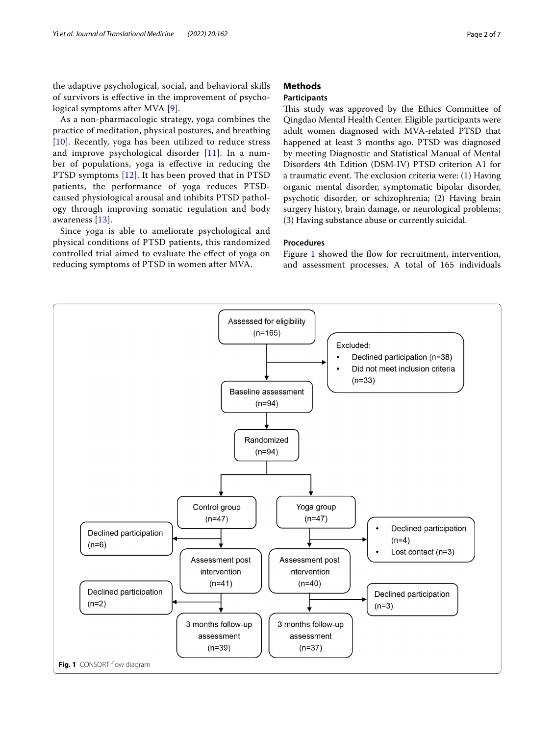the adaptive psychological, social, and behavioral skills of survivors is efective in the improvement of psychological symptoms after MVA [[9](#page-6-8)].

As a non-pharmacologic strategy, yoga combines the practice of meditation, physical postures, and breathing [[10](#page-6-9)]. Recently, yoga has been utilized to reduce stress and improve psychological disorder [[11](#page-6-10)]. In a number of populations, yoga is efective in reducing the PTSD symptoms [[12](#page-6-11)]. It has been proved that in PTSD patients, the performance of yoga reduces PTSDcaused physiological arousal and inhibits PTSD pathology through improving somatic regulation and body awareness [\[13](#page-6-12)].

Since yoga is able to ameliorate psychological and physical conditions of PTSD patients, this randomized controlled trial aimed to evaluate the efect of yoga on reducing symptoms of PTSD in women after MVA.

# **Methods**

# **Participants**

This study was approved by the Ethics Committee of Qingdao Mental Health Center. Eligible participants were adult women diagnosed with MVA-related PTSD that happened at least 3 months ago. PTSD was diagnosed by meeting Diagnostic and Statistical Manual of Mental Disorders 4th Edition (DSM-IV) PTSD criterion A1 for a traumatic event. The exclusion criteria were: (1) Having organic mental disorder, symptomatic bipolar disorder, psychotic disorder, or schizophrenia; (2) Having brain surgery history, brain damage, or neurological problems; (3) Having substance abuse or currently suicidal.

# **Procedures**

Figure [1](#page-1-0) showed the flow for recruitment, intervention, and assessment processes. A total of 165 individuals

<span id="page-1-0"></span>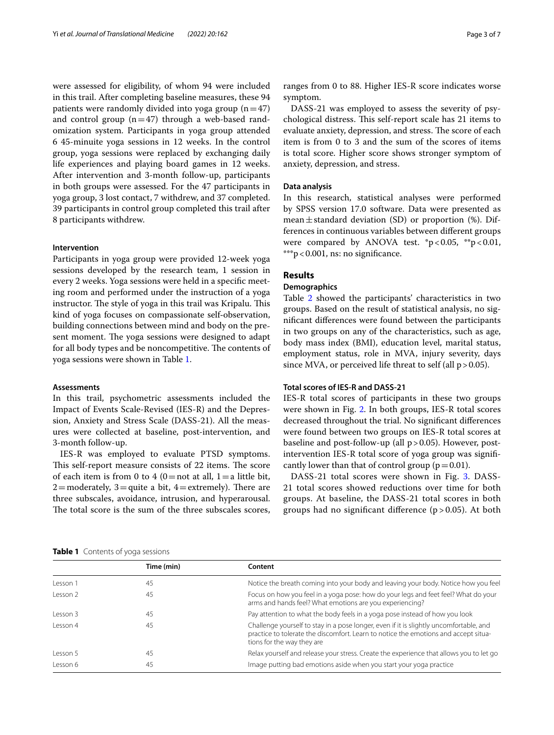were assessed for eligibility, of whom 94 were included in this trail. After completing baseline measures, these 94 patients were randomly divided into yoga group  $(n=47)$ and control group  $(n=47)$  through a web-based randomization system. Participants in yoga group attended 6 45-minuite yoga sessions in 12 weeks. In the control group, yoga sessions were replaced by exchanging daily life experiences and playing board games in 12 weeks. After intervention and 3-month follow-up, participants in both groups were assessed. For the 47 participants in yoga group, 3 lost contact, 7 withdrew, and 37 completed. 39 participants in control group completed this trail after 8 participants withdrew.

# **Intervention**

Participants in yoga group were provided 12-week yoga sessions developed by the research team, 1 session in every 2 weeks. Yoga sessions were held in a specifc meeting room and performed under the instruction of a yoga instructor. The style of yoga in this trail was Kripalu. This kind of yoga focuses on compassionate self‐observation, building connections between mind and body on the present moment. The yoga sessions were designed to adapt for all body types and be noncompetitive. The contents of yoga sessions were shown in Table [1.](#page-2-0)

#### **Assessments**

In this trail, psychometric assessments included the Impact of Events Scale-Revised (IES-R) and the Depression, Anxiety and Stress Scale (DASS-21). All the measures were collected at baseline, post-intervention, and 3-month follow-up.

IES-R was employed to evaluate PTSD symptoms. This self-report measure consists of 22 items. The score of each item is from 0 to 4 (0=not at all, 1=a little bit,  $2=$ moderately,  $3=$ quite a bit,  $4=$ extremely). There are three subscales, avoidance, intrusion, and hyperarousal. The total score is the sum of the three subscales scores, ranges from 0 to 88. Higher IES-R score indicates worse symptom.

DASS-21 was employed to assess the severity of psychological distress. This self-report scale has 21 items to evaluate anxiety, depression, and stress. The score of each item is from 0 to 3 and the sum of the scores of items is total score. Higher score shows stronger symptom of anxiety, depression, and stress.

## **Data analysis**

In this research, statistical analyses were performed by SPSS version 17.0 software. Data were presented as mean $\pm$ standard deviation (SD) or proportion (%). Differences in continuous variables between diferent groups were compared by ANOVA test.  $p < 0.05$ ,  $* p < 0.01$ , \*\*\*p<0.001, ns: no signifcance.

#### **Results**

### **Demographics**

Table [2](#page-3-0) showed the participants' characteristics in two groups. Based on the result of statistical analysis, no signifcant diferences were found between the participants in two groups on any of the characteristics, such as age, body mass index (BMI), education level, marital status, employment status, role in MVA, injury severity, days since MVA, or perceived life threat to self (all  $p > 0.05$ ).

#### **Total scores of IES‑R and DASS‑21**

IES-R total scores of participants in these two groups were shown in Fig. [2](#page-3-1). In both groups, IES-R total scores decreased throughout the trial. No signifcant diferences were found between two groups on IES-R total scores at baseline and post-follow-up (all  $p > 0.05$ ). However, postintervention IES-R total score of yoga group was signifcantly lower than that of control group ( $p=0.01$ ).

DASS-21 total scores were shown in Fig. [3](#page-3-2). DASS-21 total scores showed reductions over time for both groups. At baseline, the DASS-21 total scores in both groups had no significant difference  $(p > 0.05)$ . At both

<span id="page-2-0"></span>

| <b>Table 1</b> Contents of yoga sessions |  |  |
|------------------------------------------|--|--|
|------------------------------------------|--|--|

|                     | Time (min) | Content                                                                                                                                                                                                     |  |  |
|---------------------|------------|-------------------------------------------------------------------------------------------------------------------------------------------------------------------------------------------------------------|--|--|
| Lesson 1            | 45         | Notice the breath coming into your body and leaving your body. Notice how you feel                                                                                                                          |  |  |
| Lesson <sub>2</sub> | 45         | Focus on how you feel in a yoga pose: how do your legs and feet feel? What do your<br>arms and hands feel? What emotions are you experiencing?                                                              |  |  |
| Lesson 3            | 45         | Pay attention to what the body feels in a yoga pose instead of how you look                                                                                                                                 |  |  |
| Lesson 4            | 45         | Challenge yourself to stay in a pose longer, even if it is slightly uncomfortable, and<br>practice to tolerate the discomfort. Learn to notice the emotions and accept situa-<br>tions for the way they are |  |  |
| Lesson 5            | 45         | Relax yourself and release your stress. Create the experience that allows you to let go                                                                                                                     |  |  |
| Lesson 6            | 45         | Image putting bad emotions aside when you start your yoga practice                                                                                                                                          |  |  |
|                     |            |                                                                                                                                                                                                             |  |  |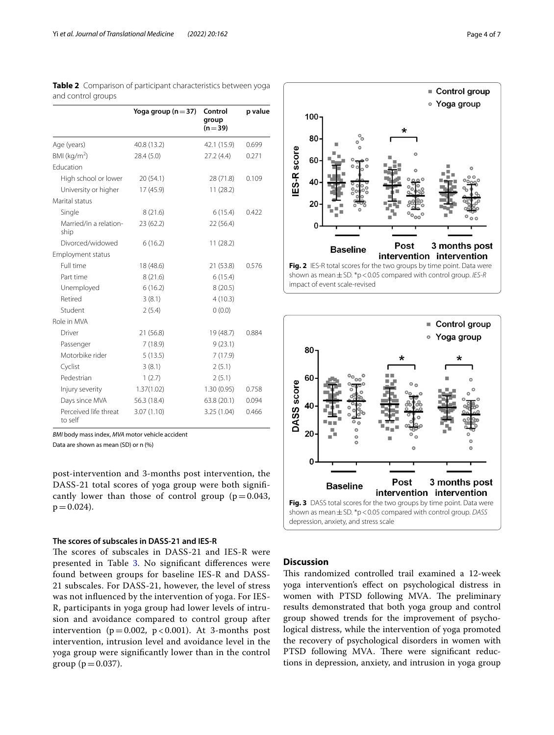|                                  | Yoga group $(n=37)$ | Control<br>group<br>$(n=39)$ | p value |
|----------------------------------|---------------------|------------------------------|---------|
| Age (years)                      | 40.8 (13.2)         | 42.1 (15.9)                  | 0.699   |
| BMI ( $kg/m2$ )                  | 28.4 (5.0)          | 27.2(4.4)                    | 0.271   |
| Fducation                        |                     |                              |         |
| High school or lower             | 20(54.1)            | 28 (71.8)                    | 0.109   |
| University or higher             | 17 (45.9)           | 11(28.2)                     |         |
| Marital status                   |                     |                              |         |
| Single                           | 8(21.6)             | 6(15.4)                      | 0.422   |
| Married/in a relation-<br>ship   | 23 (62.2)           | 22 (56.4)                    |         |
| Divorced/widowed                 | 6(16.2)             | 11(28.2)                     |         |
| <b>Employment status</b>         |                     |                              |         |
| Full time                        | 18 (48.6)           | 21 (53.8)                    | 0.576   |
| Part time                        | 8(21.6)             | 6(15.4)                      |         |
| Unemployed                       | 6(16.2)             | 8(20.5)                      |         |
| Retired                          | 3(8.1)              | 4(10.3)                      |         |
| Student                          | 2(5.4)              | 0(0.0)                       |         |
| Role in MVA                      |                     |                              |         |
| Driver                           | 21 (56.8)           | 19 (48.7)                    | 0.884   |
| Passenger                        | 7(18.9)             | 9(23.1)                      |         |
| Motorbike rider                  | 5(13.5)             | 7 (17.9)                     |         |
| Cyclist                          | 3(8.1)              | 2(5.1)                       |         |
| Pedestrian                       | 1(2.7)              | 2(5.1)                       |         |
| Injury severity                  | 1.37(1.02)          | 1.30(0.95)                   | 0.758   |
| Days since MVA                   | 56.3 (18.4)         | 63.8(20.1)                   | 0.094   |
| Perceived life threat<br>to self | 3.07(1.10)          | 3.25 (1.04)                  | 0.466   |

<span id="page-3-0"></span>**Table 2** Comparison of participant characteristics between yoga and control groups

*BMI* body mass index, *MVA* motor vehicle accident

Data are shown as mean (SD) or n (%)

post-intervention and 3-months post intervention, the DASS-21 total scores of yoga group were both signifcantly lower than those of control group ( $p=0.043$ ,  $p = 0.024$ .

# **The scores of subscales in DASS‑21 and IES‑R**

The scores of subscales in DASS-21 and IES-R were presented in Table [3.](#page-4-0) No signifcant diferences were found between groups for baseline IES-R and DASS-21 subscales. For DASS-21, however, the level of stress was not infuenced by the intervention of yoga. For IES-R, participants in yoga group had lower levels of intrusion and avoidance compared to control group after intervention ( $p = 0.002$ ,  $p < 0.001$ ). At 3-months post intervention, intrusion level and avoidance level in the yoga group were signifcantly lower than in the control group ( $p = 0.037$ ).



<span id="page-3-1"></span>

# <span id="page-3-2"></span>**Discussion**

This randomized controlled trail examined a 12-week yoga intervention's efect on psychological distress in women with PTSD following MVA. The preliminary results demonstrated that both yoga group and control group showed trends for the improvement of psychological distress, while the intervention of yoga promoted the recovery of psychological disorders in women with PTSD following MVA. There were significant reductions in depression, anxiety, and intrusion in yoga group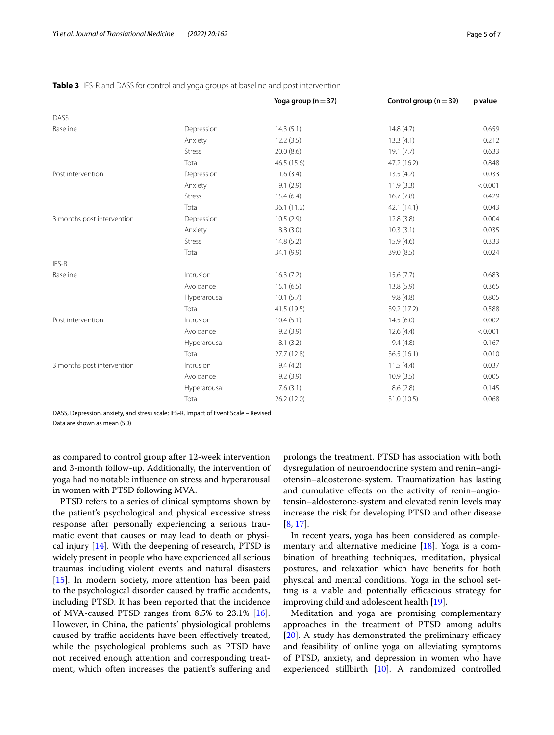|                            |               | Yoga group ( $n = 37$ ) | Control group ( $n = 39$ ) | p value |
|----------------------------|---------------|-------------------------|----------------------------|---------|
| <b>DASS</b>                |               |                         |                            |         |
| Baseline                   | Depression    | 14.3(5.1)               | 14.8(4.7)                  | 0.659   |
|                            | Anxiety       | 12.2(3.5)               | 13.3(4.1)                  | 0.212   |
|                            | <b>Stress</b> | 20.0(8.6)               | 19.1(7.7)                  | 0.633   |
|                            | Total         | 46.5 (15.6)             | 47.2 (16.2)                | 0.848   |
| Post intervention          | Depression    | 11.6(3.4)               | 13.5(4.2)                  | 0.033   |
|                            | Anxiety       | 9.1(2.9)                | 11.9(3.3)                  | < 0.001 |
|                            | <b>Stress</b> | 15.4(6.4)               | 16.7(7.8)                  | 0.429   |
|                            | Total         | 36.1(11.2)              | 42.1(14.1)                 | 0.043   |
| 3 months post intervention | Depression    | 10.5(2.9)               | 12.8(3.8)                  | 0.004   |
|                            | Anxiety       | 8.8(3.0)                | 10.3(3.1)                  | 0.035   |
|                            | <b>Stress</b> | 14.8(5.2)               | 15.9 (4.6)                 | 0.333   |
|                            | Total         | 34.1 (9.9)              | 39.0 (8.5)                 | 0.024   |
| IES-R                      |               |                         |                            |         |
| Baseline                   | Intrusion     | 16.3(7.2)               | 15.6(7.7)                  | 0.683   |
|                            | Avoidance     | 15.1(6.5)               | 13.8(5.9)                  | 0.365   |
|                            | Hyperarousal  | 10.1(5.7)               | 9.8(4.8)                   | 0.805   |
|                            | Total         | 41.5(19.5)              | 39.2 (17.2)                | 0.588   |
| Post intervention          | Intrusion     | 10.4(5.1)               | 14.5(6.0)                  | 0.002   |
|                            | Avoidance     | 9.2(3.9)                | 12.6(4.4)                  | < 0.001 |
|                            | Hyperarousal  | 8.1(3.2)                | 9.4(4.8)                   | 0.167   |
|                            | Total         | 27.7(12.8)              | 36.5 (16.1)                | 0.010   |
| 3 months post intervention | Intrusion     | 9.4(4.2)                | 11.5(4.4)                  | 0.037   |
|                            | Avoidance     | 9.2(3.9)                | 10.9(3.5)                  | 0.005   |
|                            | Hyperarousal  | 7.6(3.1)                | 8.6(2.8)                   | 0.145   |
|                            | Total         | 26.2 (12.0)             | 31.0 (10.5)                | 0.068   |

# <span id="page-4-0"></span>**Table 3** IES-R and DASS for control and yoga groups at baseline and post intervention

DASS, Depression, anxiety, and stress scale; IES-R, Impact of Event Scale – Revised

Data are shown as mean (SD)

as compared to control group after 12-week intervention and 3-month follow-up. Additionally, the intervention of yoga had no notable infuence on stress and hyperarousal in women with PTSD following MVA.

PTSD refers to a series of clinical symptoms shown by the patient's psychological and physical excessive stress response after personally experiencing a serious traumatic event that causes or may lead to death or physical injury [[14\]](#page-6-13). With the deepening of research, PTSD is widely present in people who have experienced all serious traumas including violent events and natural disasters [[15\]](#page-6-14). In modern society, more attention has been paid to the psychological disorder caused by traffic accidents, including PTSD. It has been reported that the incidence of MVA-caused PTSD ranges from 8.5% to 23.1% [\[16](#page-6-15)]. However, in China, the patients' physiological problems caused by traffic accidents have been effectively treated, while the psychological problems such as PTSD have not received enough attention and corresponding treatment, which often increases the patient's sufering and

prolongs the treatment. PTSD has association with both dysregulation of neuroendocrine system and renin–angiotensin–aldosterone-system. Traumatization has lasting and cumulative efects on the activity of renin–angiotensin–aldosterone-system and elevated renin levels may increase the risk for developing PTSD and other disease [[8,](#page-6-7) [17](#page-6-16)].

In recent years, yoga has been considered as complementary and alternative medicine  $[18]$  $[18]$ . Yoga is a combination of breathing techniques, meditation, physical postures, and relaxation which have benefts for both physical and mental conditions. Yoga in the school setting is a viable and potentially efficacious strategy for improving child and adolescent health [\[19\]](#page-6-18).

Meditation and yoga are promising complementary approaches in the treatment of PTSD among adults  $[20]$  $[20]$ . A study has demonstrated the preliminary efficacy and feasibility of online yoga on alleviating symptoms of PTSD, anxiety, and depression in women who have experienced stillbirth [[10](#page-6-9)]. A randomized controlled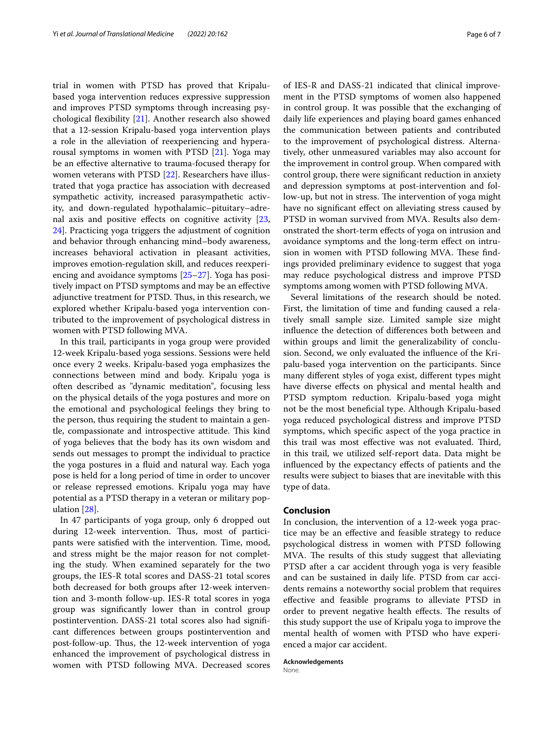trial in women with PTSD has proved that Kripalubased yoga intervention reduces expressive suppression and improves PTSD symptoms through increasing psychological fexibility [\[21\]](#page-6-20). Another research also showed that a 12-session Kripalu-based yoga intervention plays a role in the alleviation of reexperiencing and hyperarousal symptoms in women with PTSD [[21\]](#page-6-20). Yoga may be an efective alternative to trauma-focused therapy for women veterans with PTSD [\[22](#page-6-21)]. Researchers have illustrated that yoga practice has association with decreased sympathetic activity, increased parasympathetic activity, and down-regulated hypothalamic–pituitary–adrenal axis and positive efects on cognitive activity [\[23](#page-6-22), [24\]](#page-6-23). Practicing yoga triggers the adjustment of cognition and behavior through enhancing mind–body awareness, increases behavioral activation in pleasant activities, improves emotion‐regulation skill, and reduces reexperiencing and avoidance symptoms [[25–](#page-6-24)[27](#page-6-25)]. Yoga has positively impact on PTSD symptoms and may be an efective adjunctive treatment for PTSD. Thus, in this research, we explored whether Kripalu-based yoga intervention contributed to the improvement of psychological distress in women with PTSD following MVA.

In this trail, participants in yoga group were provided 12-week Kripalu-based yoga sessions. Sessions were held once every 2 weeks. Kripalu-based yoga emphasizes the connections between mind and body. Kripalu yoga is often described as "dynamic meditation", focusing less on the physical details of the yoga postures and more on the emotional and psychological feelings they bring to the person, thus requiring the student to maintain a gentle, compassionate and introspective attitude. This kind of yoga believes that the body has its own wisdom and sends out messages to prompt the individual to practice the yoga postures in a fuid and natural way. Each yoga pose is held for a long period of time in order to uncover or release repressed emotions. Kripalu yoga may have potential as a PTSD therapy in a veteran or military population [[28\]](#page-6-26).

In 47 participants of yoga group, only 6 dropped out during 12-week intervention. Thus, most of participants were satisfed with the intervention. Time, mood, and stress might be the major reason for not completing the study. When examined separately for the two groups, the IES-R total scores and DASS-21 total scores both decreased for both groups after 12-week intervention and 3-month follow-up. IES-R total scores in yoga group was signifcantly lower than in control group postintervention. DASS-21 total scores also had signifcant diferences between groups postintervention and post-follow-up. Thus, the 12-week intervention of yoga enhanced the improvement of psychological distress in women with PTSD following MVA. Decreased scores of IES-R and DASS-21 indicated that clinical improvement in the PTSD symptoms of women also happened in control group. It was possible that the exchanging of daily life experiences and playing board games enhanced the communication between patients and contributed to the improvement of psychological distress. Alternatively, other unmeasured variables may also account for the improvement in control group. When compared with control group, there were signifcant reduction in anxiety and depression symptoms at post-intervention and follow-up, but not in stress. The intervention of yoga might have no signifcant efect on alleviating stress caused by PTSD in woman survived from MVA. Results also demonstrated the short-term efects of yoga on intrusion and avoidance symptoms and the long-term efect on intrusion in women with PTSD following MVA. These findings provided preliminary evidence to suggest that yoga may reduce psychological distress and improve PTSD symptoms among women with PTSD following MVA.

Several limitations of the research should be noted. First, the limitation of time and funding caused a relatively small sample size. Limited sample size might infuence the detection of diferences both between and within groups and limit the generalizability of conclusion. Second, we only evaluated the infuence of the Kripalu-based yoga intervention on the participants. Since many diferent styles of yoga exist, diferent types might have diverse efects on physical and mental health and PTSD symptom reduction. Kripalu-based yoga might not be the most benefcial type. Although Kripalu-based yoga reduced psychological distress and improve PTSD symptoms, which specifc aspect of the yoga practice in this trail was most effective was not evaluated. Third, in this trail, we utilized self-report data. Data might be infuenced by the expectancy efects of patients and the results were subject to biases that are inevitable with this type of data.

## **Conclusion**

In conclusion, the intervention of a 12-week yoga practice may be an efective and feasible strategy to reduce psychological distress in women with PTSD following MVA. The results of this study suggest that alleviating PTSD after a car accident through yoga is very feasible and can be sustained in daily life. PTSD from car accidents remains a noteworthy social problem that requires efective and feasible programs to alleviate PTSD in order to prevent negative health effects. The results of this study support the use of Kripalu yoga to improve the mental health of women with PTSD who have experienced a major car accident.

**Acknowledgements** None.